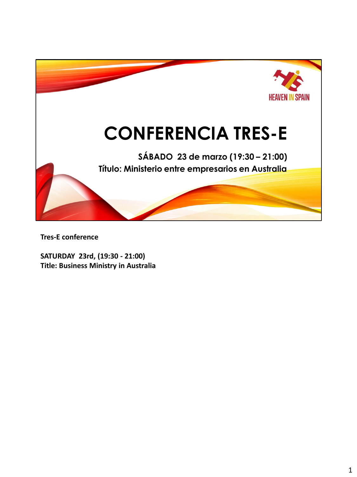

**Tres-E conference**

**SATURDAY 23rd, (19:30 - 21:00) Title: Business Ministry in Australia**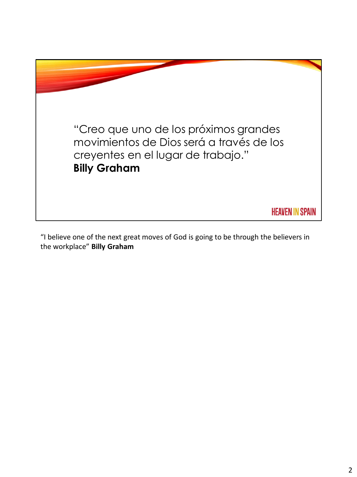

"I believe one of the next great moves of God is going to be through the believers in the workplace" **Billy Graham**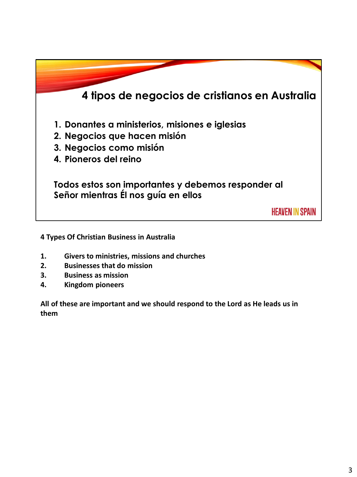

**4 Types Of Christian Business in Australia**

- **1. Givers to ministries, missions and churches**
- **2. Businesses that do mission**
- **3. Business as mission**
- **4. Kingdom pioneers**

**All of these are important and we should respond to the Lord as He leads us in them**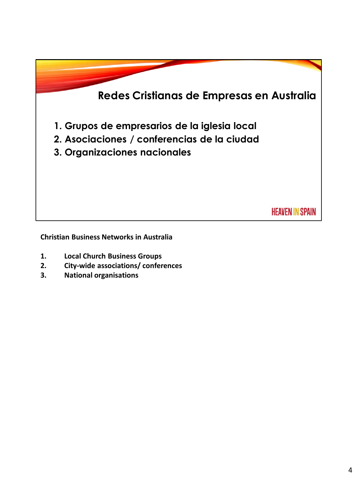

**Christian Business Networks in Australia**

- **1. Local Church Business Groups**
- **2. City-wide associations/ conferences**
- **3. National organisations**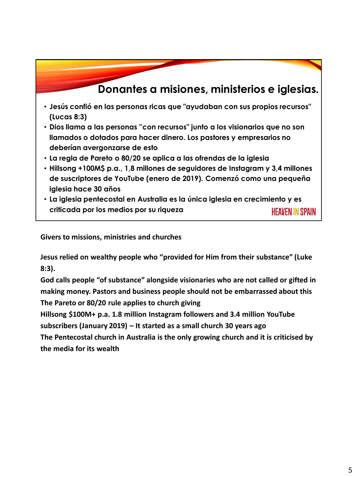### **Donantes a misiones, ministerios e iglesias.**

- **Jesús confió en las personas ricas que "ayudaban con sus propios recursos" (Lucas 8:3)**
- **Dios llama a las personas "con recursos" junto a los visionarios que no son llamados o dotados para hacer dinero. Los pastores y empresarios no deberían avergonzarse de esto**
- **La regla de Pareto o 80/20 se aplica a las ofrendas de la iglesia**
- **Hillsong +100M\$ p.a., 1,8 millones de seguidores de Instagram y 3,4 millones de suscriptores de YouTube (enero de 2019). Comenzó como una pequeña iglesia hace 30 años**
- **La iglesia pentecostal en Australia es la única iglesia en crecimiento y es criticada por los medios por su riqueza** HEAVEN IN SPAIN

**Givers to missions, ministries and churches**

**Jesus relied on wealthy people who "provided for Him from their substance" (Luke 8:3).** 

**God calls people "of substance" alongside visionaries who are not called or gifted in making money. Pastors and business people should not be embarrassed about this The Pareto or 80/20 rule applies to church giving**

**Hillsong \$100M+ p.a. 1.8 million Instagram followers and 3.4 million YouTube subscribers (January 2019) – It started as a small church 30 years ago**

**The Pentecostal church in Australia is the only growing church and it is criticised by the media for its wealth**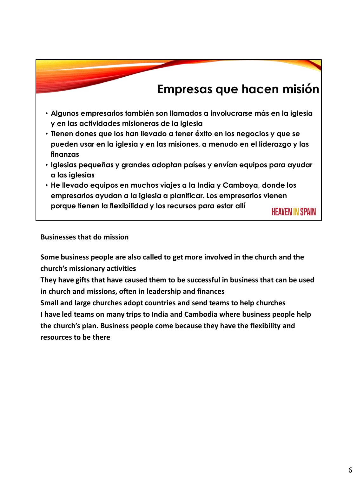# **Empresas que hacen misión**

- **Algunos empresarios también son llamados a involucrarse más en la iglesia y en las actividades misioneras de la iglesia**
- **Tienen dones que los han llevado a tener éxito en los negocios y que se pueden usar en la iglesia y en las misiones, a menudo en el liderazgo y las finanzas**
- **Iglesias pequeñas y grandes adoptan países y envían equipos para ayudar a las iglesias**
- **He llevado equipos en muchos viajes a la India y Camboya, donde los empresarios ayudan a la iglesia a planificar. Los empresarios vienen porque tienen la flexibilidad y los recursos para estar allí**

**HEAVEN IN SPAIN** 

**Businesses that do mission**

**Some business people are also called to get more involved in the church and the church's missionary activities**

**They have gifts that have caused them to be successful in business that can be used in church and missions, often in leadership and finances**

**Small and large churches adopt countries and send teams to help churches I have led teams on many trips to India and Cambodia where business people help the church's plan. Business people come because they have the flexibility and resources to be there**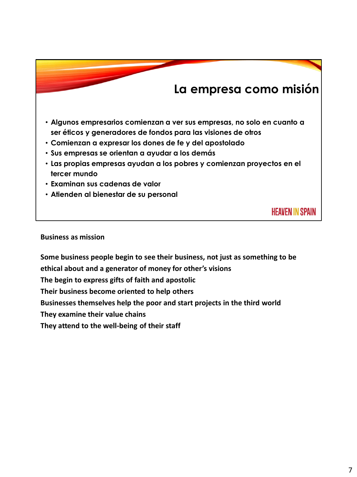## **La empresa como misión**

- **Algunos empresarios comienzan a ver sus empresas, no solo en cuanto a ser éticos y generadores de fondos para las visiones de otros**
- **Comienzan a expresar los dones de fe y del apostolado**
- **Sus empresas se orientan a ayudar a los demás**
- **Las propias empresas ayudan a los pobres y comienzan proyectos en el tercer mundo**
- **Examinan sus cadenas de valor**
- **Atienden al bienestar de su personal**

**HEAVEN IN SPAIN** 

#### **Business as mission**

**Some business people begin to see their business, not just as something to be ethical about and a generator of money for other's visions The begin to express gifts of faith and apostolic Their business become oriented to help others Businesses themselves help the poor and start projects in the third world They examine their value chains They attend to the well-being of their staff**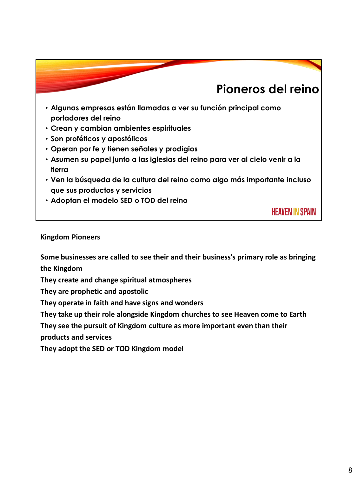# **Pioneros del reino**

- **Algunas empresas están llamadas a ver su función principal como portadores del reino**
- **Crean y cambian ambientes espirituales**
- **Son proféticos y apostólicos**
- **Operan por fe y tienen señales y prodigios**
- **Asumen su papel junto a las iglesias del reino para ver al cielo venir a la tierra**
- **Ven la búsqueda de la cultura del reino como algo más importante incluso que sus productos y servicios**
- **Adoptan el modelo SED o TOD del reino**

**HEAVEN IN SPAIN** 

### **Kingdom Pioneers**

**Some businesses are called to see their and their business's primary role as bringing the Kingdom**

**They create and change spiritual atmospheres**

**They are prophetic and apostolic**

**They operate in faith and have signs and wonders**

**They take up their role alongside Kingdom churches to see Heaven come to Earth**

**They see the pursuit of Kingdom culture as more important even than their** 

**products and services**

**They adopt the SED or TOD Kingdom model**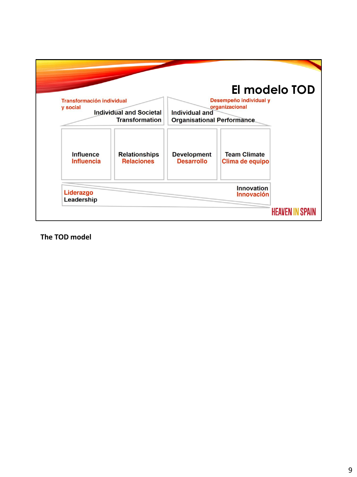

**The TOD model**